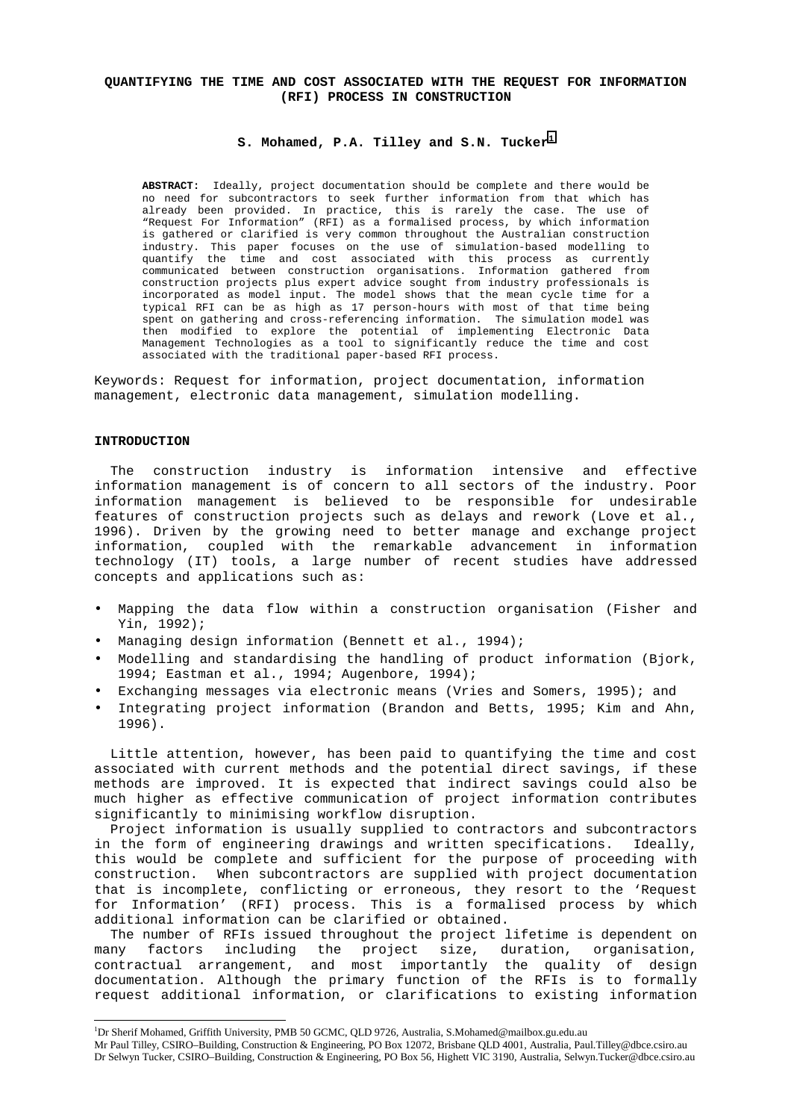## **QUANTIFYING THE TIME AND COST ASSOCIATED WITH THE REQUEST FOR INFORMATION (RFI) PROCESS IN CONSTRUCTION**

### **S. Mohamed, P.A. Tilley and S.N. Tucker<sup>1</sup>**

**ABSTRACT:** Ideally, project documentation should be complete and there would be no need for subcontractors to seek further information from that which has already been provided. In practice, this is rarely the case. The use of "Request For Information" (RFI) as a formalised process, by which information is gathered or clarified is very common throughout the Australian construction industry. This paper focuses on the use of simulation-based modelling to quantify the time and cost associated with this process as currently communicated between construction organisations. Information gathered from construction projects plus expert advice sought from industry professionals is incorporated as model input. The model shows that the mean cycle time for a typical RFI can be as high as 17 person-hours with most of that time being spent on gathering and cross-referencing information. The simulation model was then modified to explore the potential of implementing Electronic Data Management Technologies as a tool to significantly reduce the time and cost associated with the traditional paper-based RFI process.

Keywords: Request for information, project documentation, information management, electronic data management, simulation modelling.

#### **INTRODUCTION**

The construction industry is information intensive and effective information management is of concern to all sectors of the industry. Poor information management is believed to be responsible for undesirable features of construction projects such as delays and rework (Love et al., 1996). Driven by the growing need to better manage and exchange project information, coupled with the remarkable advancement in information technology (IT) tools, a large number of recent studies have addressed concepts and applications such as:

- Mapping the data flow within a construction organisation (Fisher and Yin, 1992);
- Managing design information (Bennett et al., 1994);
- Modelling and standardising the handling of product information (Bjork, 1994; Eastman et al., 1994; Augenbore, 1994);
- Exchanging messages via electronic means (Vries and Somers, 1995); and
- Integrating project information (Brandon and Betts, 1995; Kim and Ahn, 1996).

Little attention, however, has been paid to quantifying the time and cost associated with current methods and the potential direct savings, if these methods are improved. It is expected that indirect savings could also be much higher as effective communication of project information contributes significantly to minimising workflow disruption.

Project information is usually supplied to contractors and subcontractors in the form of engineering drawings and written specifications. Ideally, this would be complete and sufficient for the purpose of proceeding with construction. When subcontractors are supplied with project documentation that is incomplete, conflicting or erroneous, they resort to the 'Request for Information' (RFI) process. This is a formalised process by which additional information can be clarified or obtained.

The number of RFIs issued throughout the project lifetime is dependent on many factors including the project size, duration, organisation, contractual arrangement, and most importantly the quality of design documentation. Although the primary function of the RFIs is to formally request additional information, or clarifications to existing information

 1 Dr Sherif Mohamed, Griffith University, PMB 50 GCMC, QLD 9726, Australia, S.Mohamed@mailbox.gu.edu.au

Mr Paul Tilley, CSIRO–Building, Construction & Engineering, PO Box 12072, Brisbane QLD 4001, Australia, Paul.Tilley@dbce.csiro.au Dr Selwyn Tucker, CSIRO–Building, Construction & Engineering, PO Box 56, Highett VIC 3190, Australia, Selwyn.Tucker@dbce.csiro.au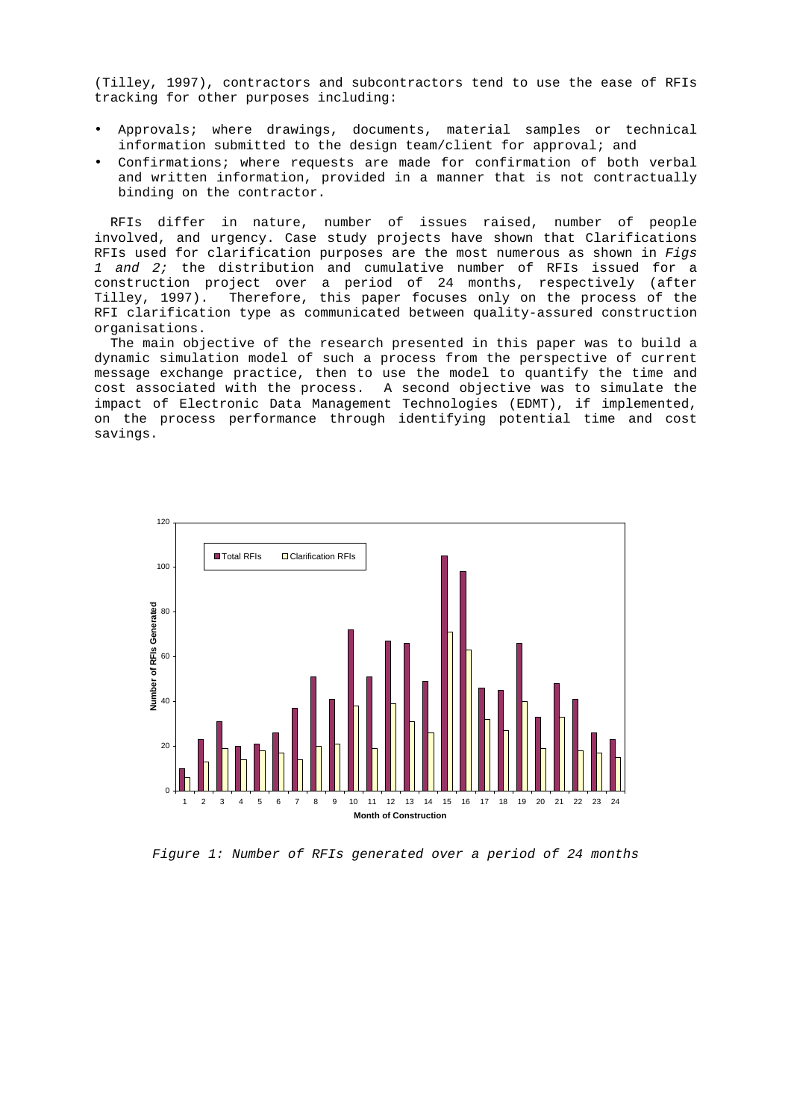(Tilley, 1997), contractors and subcontractors tend to use the ease of RFIs tracking for other purposes including:

- Approvals; where drawings, documents, material samples or technical information submitted to the design team/client for approval; and
- Confirmations; where requests are made for confirmation of both verbal and written information, provided in a manner that is not contractually binding on the contractor.

RFIs differ in nature, number of issues raised, number of people involved, and urgency. Case study projects have shown that Clarifications RFIs used for clarification purposes are the most numerous as shown in Figs 1 and 2; the distribution and cumulative number of RFIs issued for a construction project over a period of 24 months, respectively (after Tilley, 1997). Therefore, this paper focuses only on the process of the RFI clarification type as communicated between quality-assured construction organisations.

The main objective of the research presented in this paper was to build a dynamic simulation model of such a process from the perspective of current message exchange practice, then to use the model to quantify the time and cost associated with the process. A second objective was to simulate the impact of Electronic Data Management Technologies (EDMT), if implemented, on the process performance through identifying potential time and cost savings.



Figure 1: Number of RFIs generated over a period of 24 months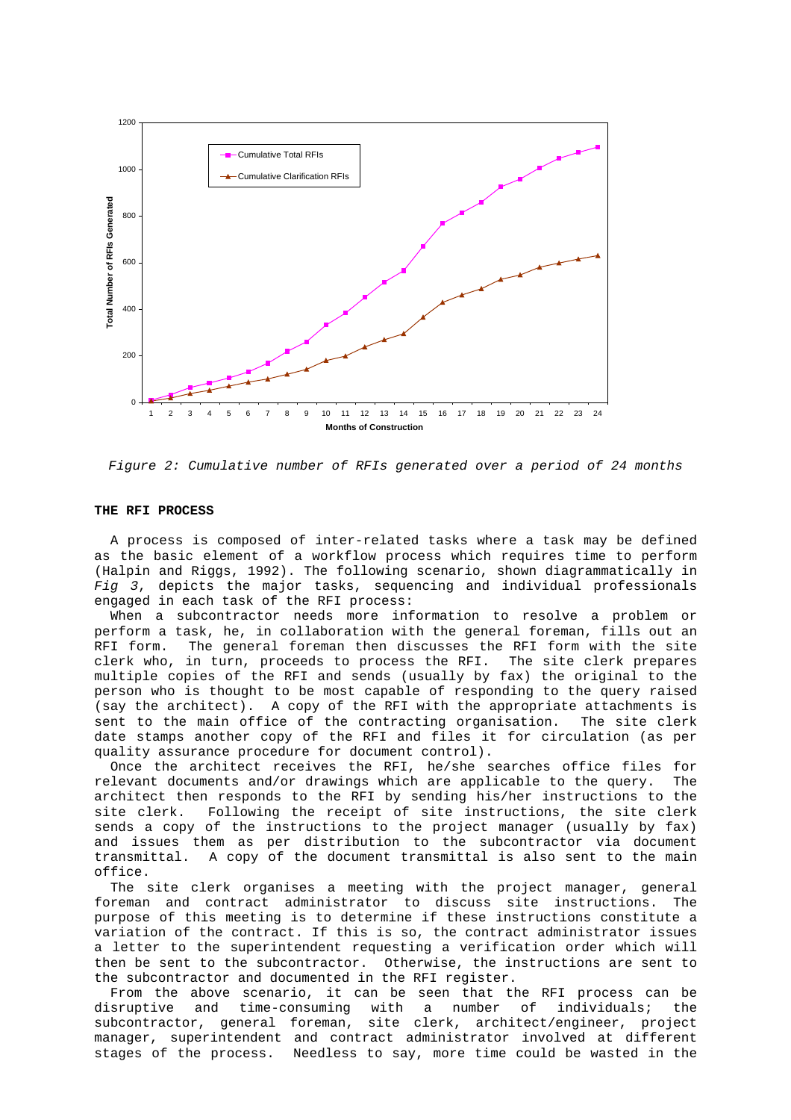



#### **THE RFI PROCESS**

A process is composed of inter-related tasks where a task may be defined as the basic element of a workflow process which requires time to perform (Halpin and Riggs, 1992). The following scenario, shown diagrammatically in Fig 3, depicts the major tasks, sequencing and individual professionals engaged in each task of the RFI process:

When a subcontractor needs more information to resolve a problem or perform a task, he, in collaboration with the general foreman, fills out an RFI form. The general foreman then discusses the RFI form with the site clerk who, in turn, proceeds to process the RFI. The site clerk prepares multiple copies of the RFI and sends (usually by fax) the original to the person who is thought to be most capable of responding to the query raised (say the architect). A copy of the RFI with the appropriate attachments is sent to the main office of the contracting organisation. The site clerk date stamps another copy of the RFI and files it for circulation (as per quality assurance procedure for document control).

Once the architect receives the RFI, he/she searches office files for relevant documents and/or drawings which are applicable to the query. The architect then responds to the RFI by sending his/her instructions to the site clerk. Following the receipt of site instructions, the site clerk sends a copy of the instructions to the project manager (usually by fax) and issues them as per distribution to the subcontractor via document transmittal. A copy of the document transmittal is also sent to the main office.

The site clerk organises a meeting with the project manager, general foreman and contract administrator to discuss site instructions. The purpose of this meeting is to determine if these instructions constitute a variation of the contract. If this is so, the contract administrator issues a letter to the superintendent requesting a verification order which will then be sent to the subcontractor. Otherwise, the instructions are sent to the subcontractor and documented in the RFI register.

From the above scenario, it can be seen that the RFI process can be disruptive and time-consuming with a number of individuals; the subcontractor, general foreman, site clerk, architect/engineer, project manager, superintendent and contract administrator involved at different stages of the process. Needless to say, more time could be wasted in the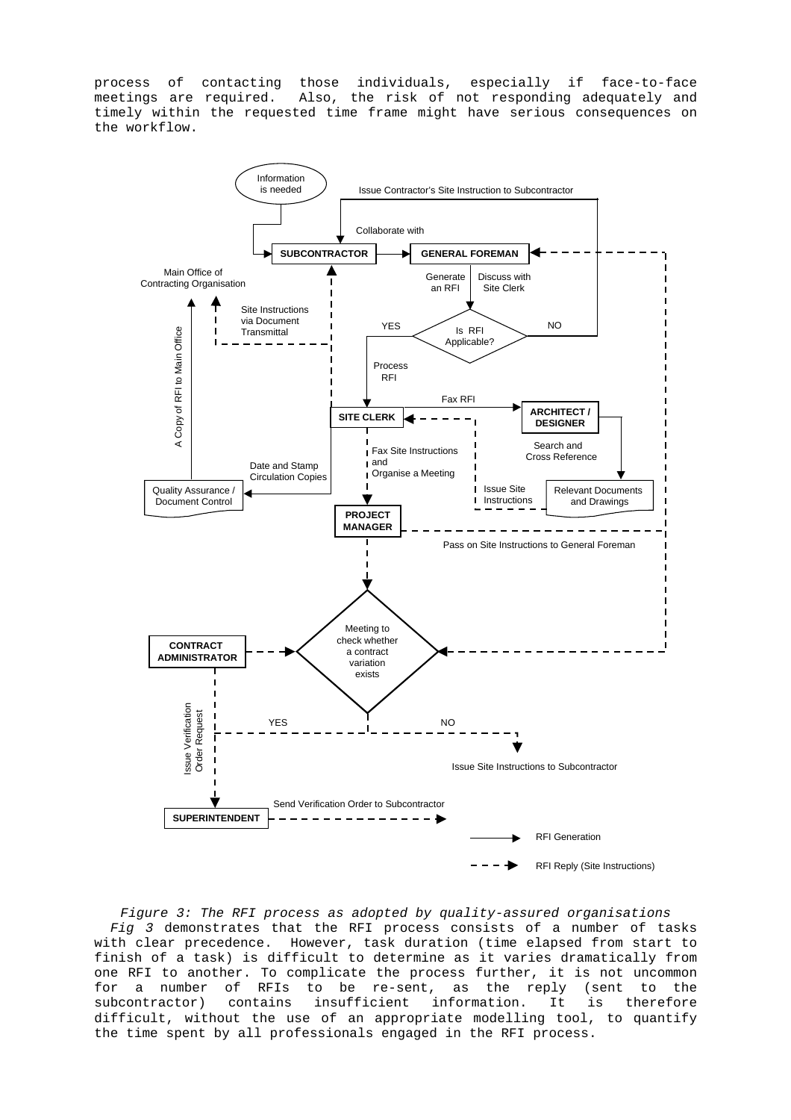process of contacting those individuals, especially if face-to-face meetings are required. Also, the risk of not responding adequately and timely within the requested time frame might have serious consequences on the workflow.



Figure 3: The RFI process as adopted by quality-assured organisations Fig 3 demonstrates that the RFI process consists of a number of tasks with clear precedence. However, task duration (time elapsed from start to finish of a task) is difficult to determine as it varies dramatically from one RFI to another. To complicate the process further, it is not uncommon for a number of RFIs to be re-sent, as the reply (sent to the subcontractor) contains insufficient information. It is therefore difficult, without the use of an appropriate modelling tool, to quantify the time spent by all professionals engaged in the RFI process.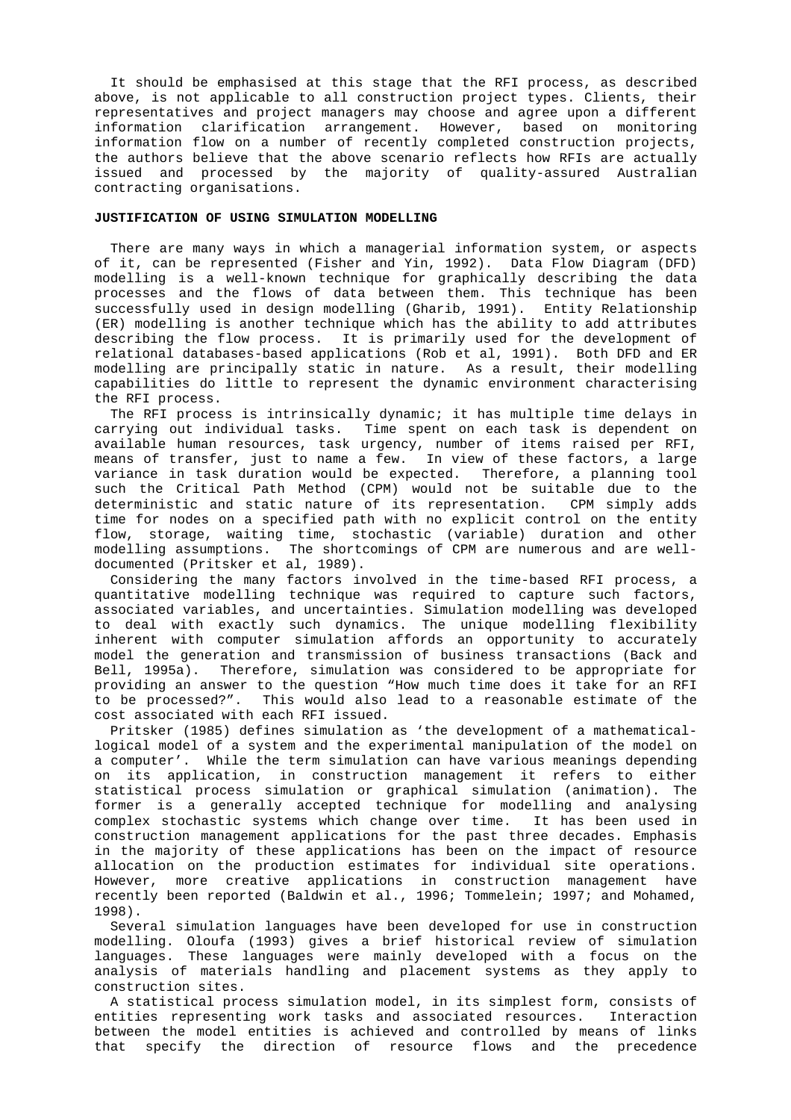It should be emphasised at this stage that the RFI process, as described above, is not applicable to all construction project types. Clients, their representatives and project managers may choose and agree upon a different information clarification arrangement. However, based on monitoring information flow on a number of recently completed construction projects, the authors believe that the above scenario reflects how RFIs are actually issued and processed by the majority of quality-assured Australian contracting organisations.

### **JUSTIFICATION OF USING SIMULATION MODELLING**

There are many ways in which a managerial information system, or aspects of it, can be represented (Fisher and Yin, 1992). Data Flow Diagram (DFD) modelling is a well-known technique for graphically describing the data processes and the flows of data between them. This technique has been successfully used in design modelling (Gharib, 1991). Entity Relationship (ER) modelling is another technique which has the ability to add attributes describing the flow process. It is primarily used for the development of relational databases-based applications (Rob et al, 1991). Both DFD and ER modelling are principally static in nature. As a result, their modelling capabilities do little to represent the dynamic environment characterising the RFI process.

The RFI process is intrinsically dynamic; it has multiple time delays in carrying out individual tasks. Time spent on each task is dependent on available human resources, task urgency, number of items raised per RFI, means of transfer, just to name a few. In view of these factors, a large variance in task duration would be expected. Therefore, a planning tool such the Critical Path Method (CPM) would not be suitable due to the deterministic and static nature of its representation. CPM simply adds time for nodes on a specified path with no explicit control on the entity flow, storage, waiting time, stochastic (variable) duration and other modelling assumptions. The shortcomings of CPM are numerous and are welldocumented (Pritsker et al, 1989).

Considering the many factors involved in the time-based RFI process, a quantitative modelling technique was required to capture such factors, associated variables, and uncertainties. Simulation modelling was developed to deal with exactly such dynamics. The unique modelling flexibility inherent with computer simulation affords an opportunity to accurately model the generation and transmission of business transactions (Back and Bell, 1995a). Therefore, simulation was considered to be appropriate for providing an answer to the question "How much time does it take for an RFI to be processed?". This would also lead to a reasonable estimate of the cost associated with each RFI issued.

Pritsker (1985) defines simulation as 'the development of a mathematicallogical model of a system and the experimental manipulation of the model on a computer'. While the term simulation can have various meanings depending on its application, in construction management it refers to either statistical process simulation or graphical simulation (animation). The former is a generally accepted technique for modelling and analysing complex stochastic systems which change over time. It has been used in construction management applications for the past three decades. Emphasis in the majority of these applications has been on the impact of resource allocation on the production estimates for individual site operations. However, more creative applications in construction management have recently been reported (Baldwin et al., 1996; Tommelein; 1997; and Mohamed, 1998).

Several simulation languages have been developed for use in construction modelling. Oloufa (1993) gives a brief historical review of simulation languages. These languages were mainly developed with a focus on the analysis of materials handling and placement systems as they apply to construction sites.

A statistical process simulation model, in its simplest form, consists of entities representing work tasks and associated resources. Interaction between the model entities is achieved and controlled by means of links that specify the direction of resource flows and the precedence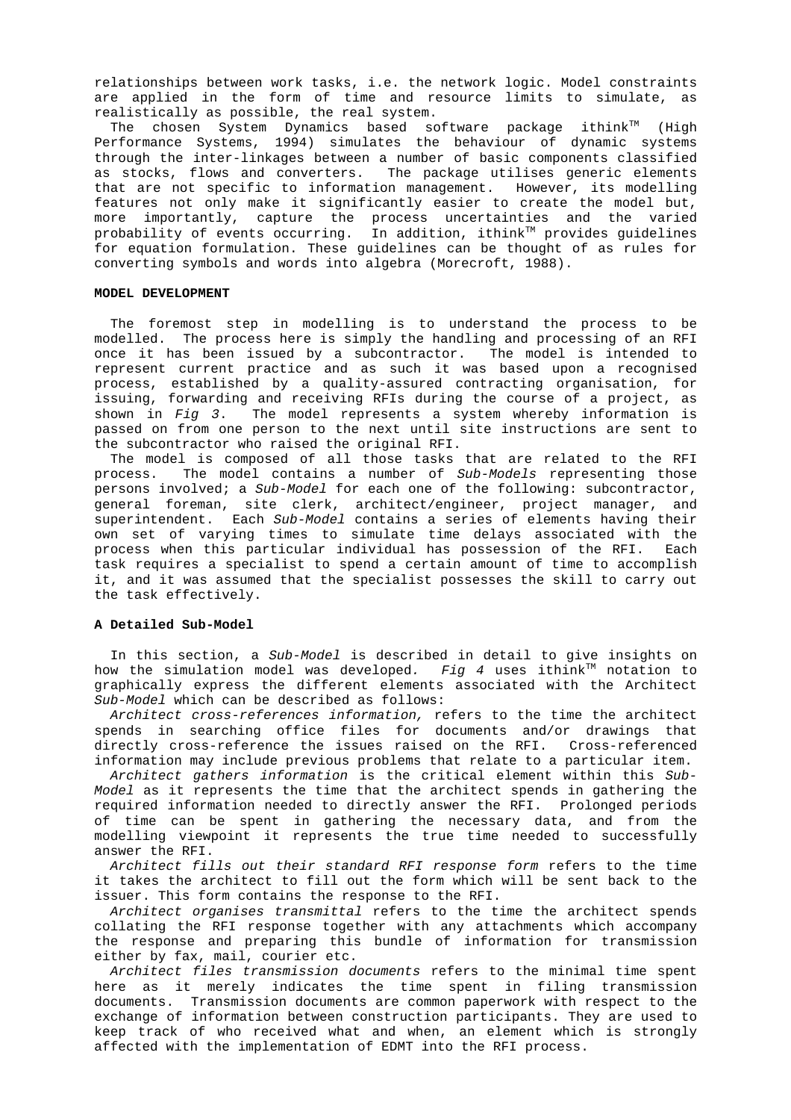relationships between work tasks, i.e. the network logic. Model constraints are applied in the form of time and resource limits to simulate, as realistically as possible, the real system.

The chosen System Dynamics based software package ithink™ (High Performance Systems, 1994) simulates the behaviour of dynamic systems through the inter-linkages between a number of basic components classified as stocks, flows and converters. The package utilises generic elements that are not specific to information management. However, its modelling features not only make it significantly easier to create the model but, more importantly, capture the process uncertainties and the varied  $p$ robability of events occurring. In addition, ithink $T^M$  provides guidelines for equation formulation. These guidelines can be thought of as rules for converting symbols and words into algebra (Morecroft, 1988).

### **MODEL DEVELOPMENT**

The foremost step in modelling is to understand the process to be modelled. The process here is simply the handling and processing of an RFI once it has been issued by a subcontractor. The model is intended to represent current practice and as such it was based upon a recognised process, established by a quality-assured contracting organisation, for issuing, forwarding and receiving RFIs during the course of a project, as shown in  $Fig\,3.$  The model represents a system whereby information is passed on from one person to the next until site instructions are sent to the subcontractor who raised the original RFI.

The model is composed of all those tasks that are related to the RFI process. The model contains a number of Sub-Models representing those persons involved; a Sub-Model for each one of the following: subcontractor, general foreman, site clerk, architect/engineer, project manager, and superintendent. Each Sub-Model contains a series of elements having their own set of varying times to simulate time delays associated with the process when this particular individual has possession of the RFI. Each task requires a specialist to spend a certain amount of time to accomplish it, and it was assumed that the specialist possesses the skill to carry out the task effectively.

### **A Detailed Sub-Model**

In this section, a Sub-Model is described in detail to give insights on how the simulation model was developed. Fig 4 uses ithink<sup>TM</sup> notation to graphically express the different elements associated with the Architect Sub-Model which can be described as follows:

Architect cross-references information, refers to the time the architect spends in searching office files for documents and/or drawings that directly cross-reference the issues raised on the RFI. Cross-referenced information may include previous problems that relate to a particular item.

Architect gathers information is the critical element within this Sub-Model as it represents the time that the architect spends in gathering the required information needed to directly answer the RFI. Prolonged periods of time can be spent in gathering the necessary data, and from the modelling viewpoint it represents the true time needed to successfully answer the RFI.

Architect fills out their standard RFI response form refers to the time it takes the architect to fill out the form which will be sent back to the issuer. This form contains the response to the RFI.

Architect organises transmittal refers to the time the architect spends collating the RFI response together with any attachments which accompany the response and preparing this bundle of information for transmission either by fax, mail, courier etc.

Architect files transmission documents refers to the minimal time spent here as it merely indicates the time spent in filing transmission documents. Transmission documents are common paperwork with respect to the exchange of information between construction participants. They are used to keep track of who received what and when, an element which is strongly affected with the implementation of EDMT into the RFI process.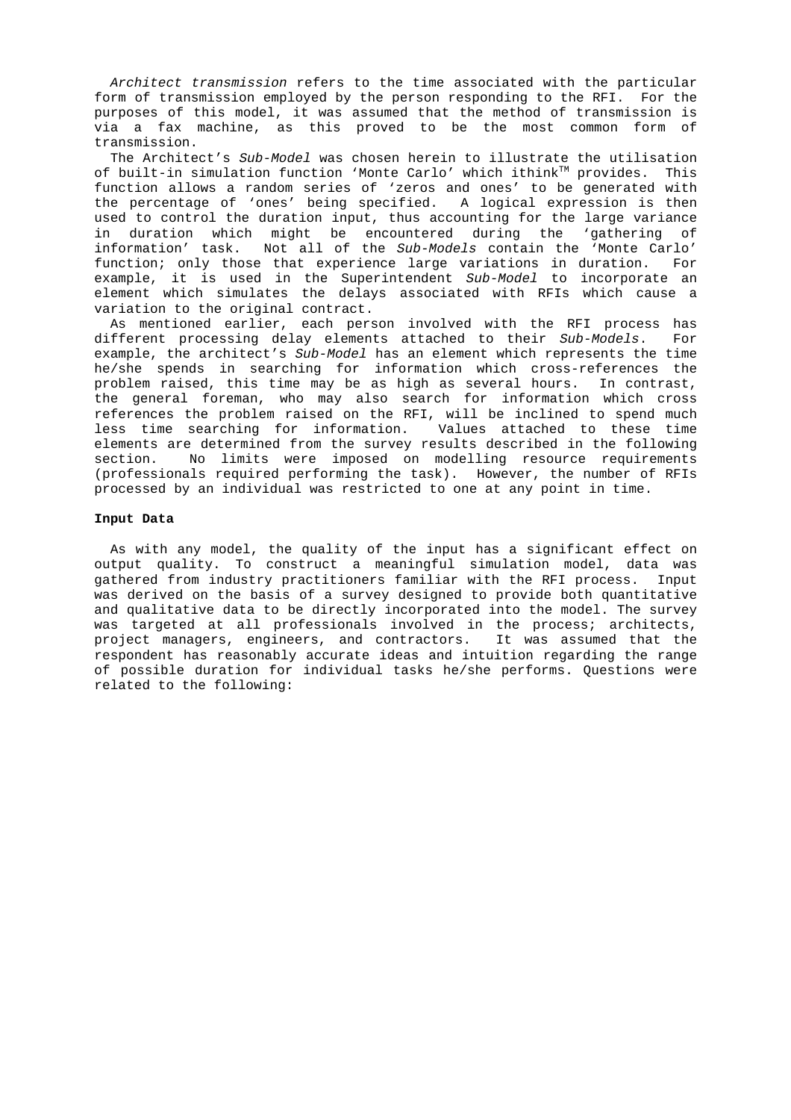Architect transmission refers to the time associated with the particular form of transmission employed by the person responding to the RFI. For the purposes of this model, it was assumed that the method of transmission is via a fax machine, as this proved to be the most common form of transmission.

The Architect's Sub-Model was chosen herein to illustrate the utilisation of built-in simulation function 'Monte Carlo' which ithink™ provides. This function allows a random series of 'zeros and ones' to be generated with the percentage of 'ones' being specified. A logical expression is then used to control the duration input, thus accounting for the large variance in duration which might be encountered during the 'gathering of information' task. Not all of the Sub-Models contain the 'Monte Carlo' function; only those that experience large variations in duration. For example, it is used in the Superintendent Sub-Model to incorporate an element which simulates the delays associated with RFIs which cause a variation to the original contract.

As mentioned earlier, each person involved with the RFI process has different processing delay elements attached to their Sub-Models. For example, the architect's Sub-Model has an element which represents the time he/she spends in searching for information which cross-references the problem raised, this time may be as high as several hours. In contrast, the general foreman, who may also search for information which cross references the problem raised on the RFI, will be inclined to spend much less time searching for information. Values attached to these time elements are determined from the survey results described in the following section. No limits were imposed on modelling resource requirements (professionals required performing the task). However, the number of RFIs processed by an individual was restricted to one at any point in time.

### **Input Data**

As with any model, the quality of the input has a significant effect on output quality. To construct a meaningful simulation model, data was gathered from industry practitioners familiar with the RFI process. Input was derived on the basis of a survey designed to provide both quantitative and qualitative data to be directly incorporated into the model. The survey was targeted at all professionals involved in the process; architects, project managers, engineers, and contractors. It was assumed that the respondent has reasonably accurate ideas and intuition regarding the range of possible duration for individual tasks he/she performs. Questions were related to the following: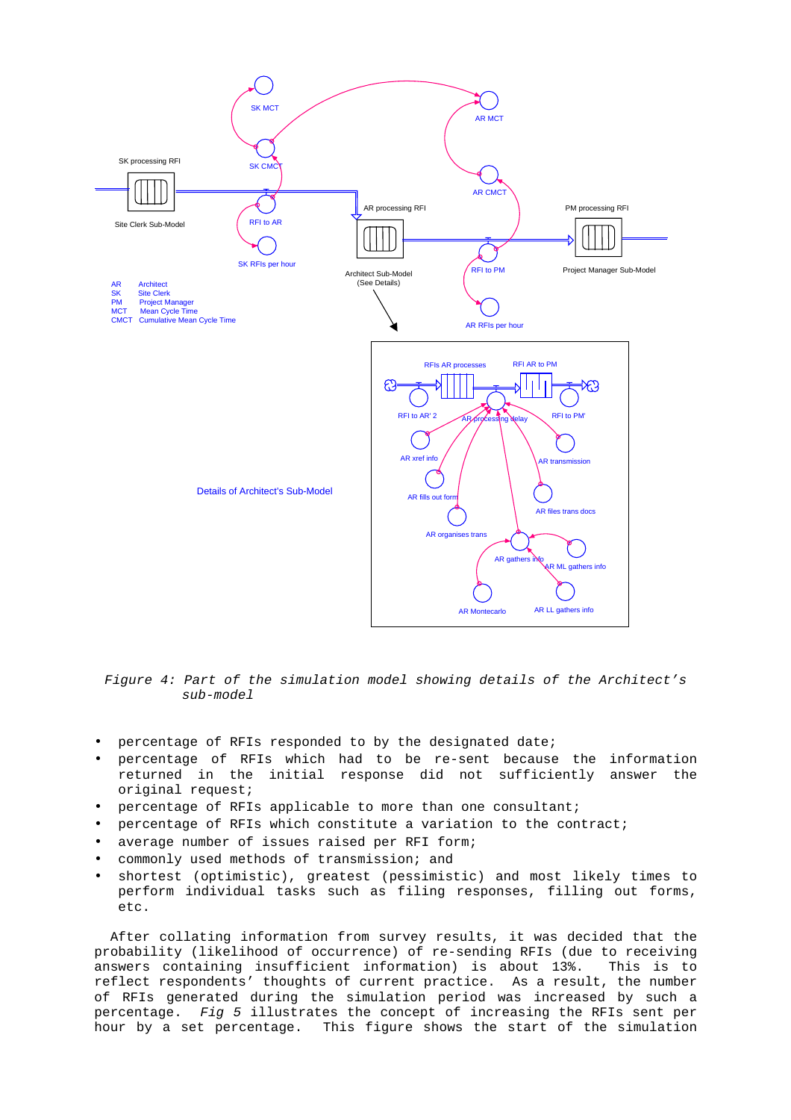

Figure 4: Part of the simulation model showing details of the Architect's sub-model

- percentage of RFIs responded to by the designated date;
- percentage of RFIs which had to be re-sent because the information returned in the initial response did not sufficiently answer the original request;
- percentage of RFIs applicable to more than one consultant;
- percentage of RFIs which constitute a variation to the contract;
- average number of issues raised per RFI form;
- commonly used methods of transmission; and
- shortest (optimistic), greatest (pessimistic) and most likely times to perform individual tasks such as filing responses, filling out forms, etc.

After collating information from survey results, it was decided that the probability (likelihood of occurrence) of re-sending RFIs (due to receiving answers containing insufficient information) is about 13%. This is to reflect respondents' thoughts of current practice. As a result, the number of RFIs generated during the simulation period was increased by such a percentage. Fig 5 illustrates the concept of increasing the RFIs sent per hour by a set percentage. This figure shows the start of the simulation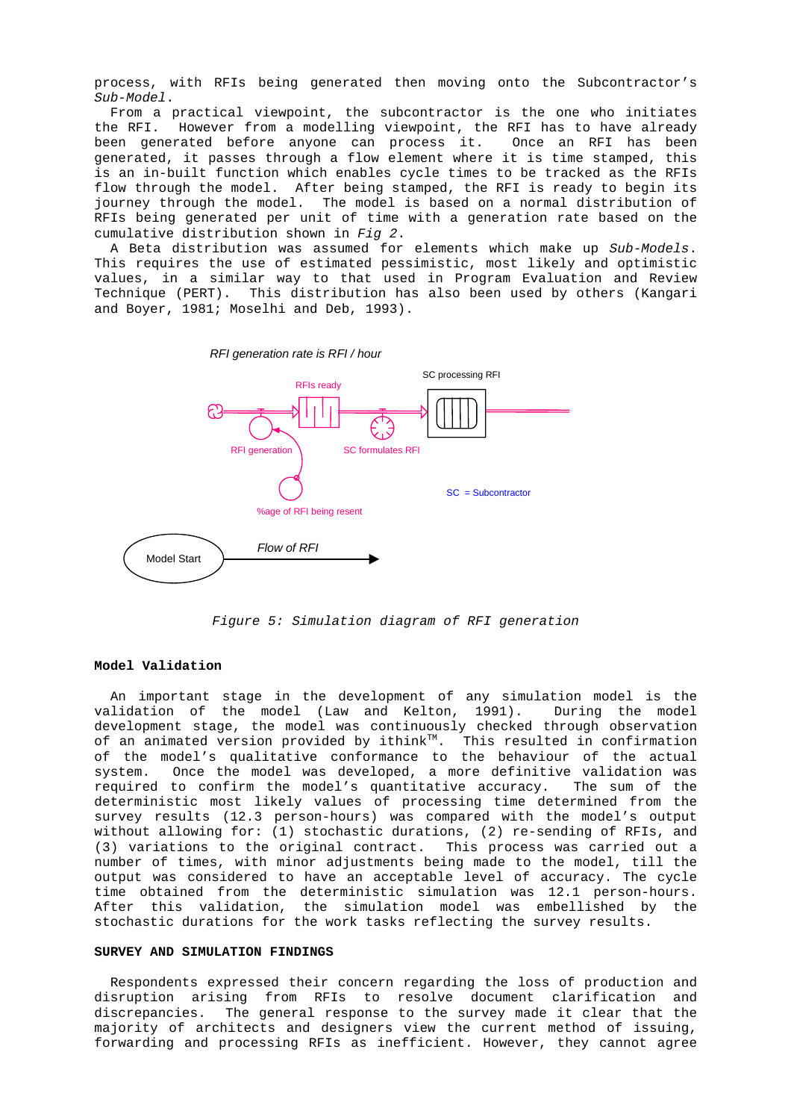process, with RFIs being generated then moving onto the Subcontractor's Sub-Model.

From a practical viewpoint, the subcontractor is the one who initiates the RFI. However from a modelling viewpoint, the RFI has to have already been generated before anyone can process it. Once an RFI has been generated, it passes through a flow element where it is time stamped, this is an in-built function which enables cycle times to be tracked as the RFIs flow through the model. After being stamped, the RFI is ready to begin its journey through the model. The model is based on a normal distribution of RFIs being generated per unit of time with a generation rate based on the cumulative distribution shown in Fig 2.

A Beta distribution was assumed for elements which make up Sub-Models. This requires the use of estimated pessimistic, most likely and optimistic values, in a similar way to that used in Program Evaluation and Review Technique (PERT). This distribution has also been used by others (Kangari and Boyer, 1981; Moselhi and Deb, 1993).



Figure 5: Simulation diagram of RFI generation

# **Model Validation**

An important stage in the development of any simulation model is the validation of the model (Law and Kelton, 1991). During the model development stage, the model was continuously checked through observation of an animated version provided by ithink $T^M$ . This resulted in confirmation of the model's qualitative conformance to the behaviour of the actual system. Once the model was developed, a more definitive validation was required to confirm the model's quantitative accuracy. The sum of the deterministic most likely values of processing time determined from the survey results (12.3 person-hours) was compared with the model's output without allowing for: (1) stochastic durations, (2) re-sending of RFIs, and (3) variations to the original contract. This process was carried out a number of times, with minor adjustments being made to the model, till the output was considered to have an acceptable level of accuracy. The cycle time obtained from the deterministic simulation was 12.1 person-hours. After this validation, the simulation model was embellished by the stochastic durations for the work tasks reflecting the survey results.

# **SURVEY AND SIMULATION FINDINGS**

Respondents expressed their concern regarding the loss of production and disruption arising from RFIs to resolve document clarification and discrepancies. The general response to the survey made it clear that the majority of architects and designers view the current method of issuing, forwarding and processing RFIs as inefficient. However, they cannot agree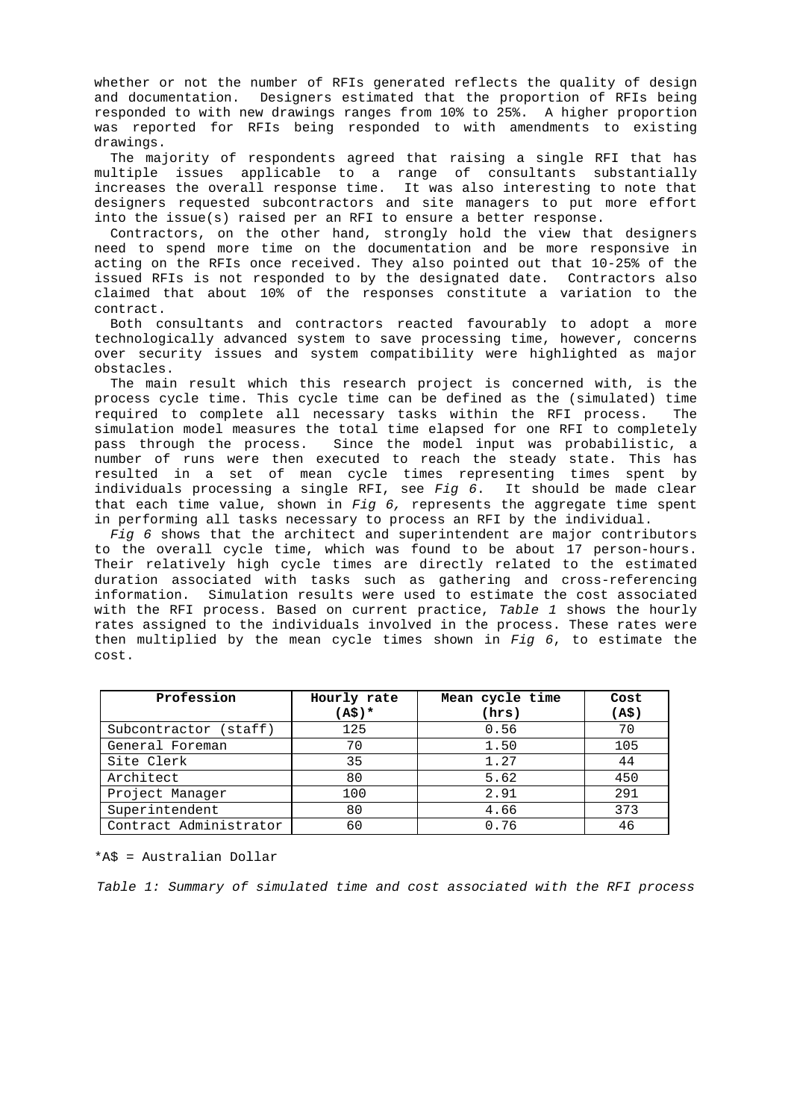whether or not the number of RFIs generated reflects the quality of design and documentation. Designers estimated that the proportion of RFIs being responded to with new drawings ranges from 10% to 25%. A higher proportion was reported for RFIs being responded to with amendments to existing drawings.

The majority of respondents agreed that raising a single RFI that has multiple issues applicable to a range of consultants substantially increases the overall response time. It was also interesting to note that designers requested subcontractors and site managers to put more effort into the issue(s) raised per an RFI to ensure a better response.

Contractors, on the other hand, strongly hold the view that designers need to spend more time on the documentation and be more responsive in acting on the RFIs once received. They also pointed out that 10-25% of the issued RFIs is not responded to by the designated date. Contractors also claimed that about 10% of the responses constitute a variation to the contract.

Both consultants and contractors reacted favourably to adopt a more technologically advanced system to save processing time, however, concerns over security issues and system compatibility were highlighted as major obstacles.

The main result which this research project is concerned with, is the process cycle time. This cycle time can be defined as the (simulated) time required to complete all necessary tasks within the RFI process. The simulation model measures the total time elapsed for one RFI to completely pass through the process. Since the model input was probabilistic, a number of runs were then executed to reach the steady state. This has resulted in a set of mean cycle times representing times spent by individuals processing a single RFI, see Fig  $6$ . It should be made clear that each time value, shown in  $Fig 6$ , represents the aggregate time spent in performing all tasks necessary to process an RFI by the individual.

Fig 6 shows that the architect and superintendent are major contributors to the overall cycle time, which was found to be about 17 person-hours. Their relatively high cycle times are directly related to the estimated duration associated with tasks such as gathering and cross-referencing information. Simulation results were used to estimate the cost associated with the RFI process. Based on current practice, Table 1 shows the hourly rates assigned to the individuals involved in the process. These rates were then multiplied by the mean cycle times shown in Fig  $6$ , to estimate the cost.

| Profession             | Hourly rate<br>$(A\hat{S})$ * | Mean cycle time<br>(hrs) | Cost<br>(A\$) |
|------------------------|-------------------------------|--------------------------|---------------|
| Subcontractor (staff)  | 125                           | 0.56                     | 70            |
| General Foreman        | 70                            | 1.50                     | 105           |
| Site Clerk             | 35                            | 1.27                     | 44            |
| Architect              | 80                            | 5.62                     | 450           |
| Project Manager        | 100                           | 2.91                     | 291           |
| Superintendent         | 80                            | 4.66                     | 373           |
| Contract Administrator | 60                            | 0.76                     | 46            |

\*A\$ = Australian Dollar

Table 1: Summary of simulated time and cost associated with the RFI process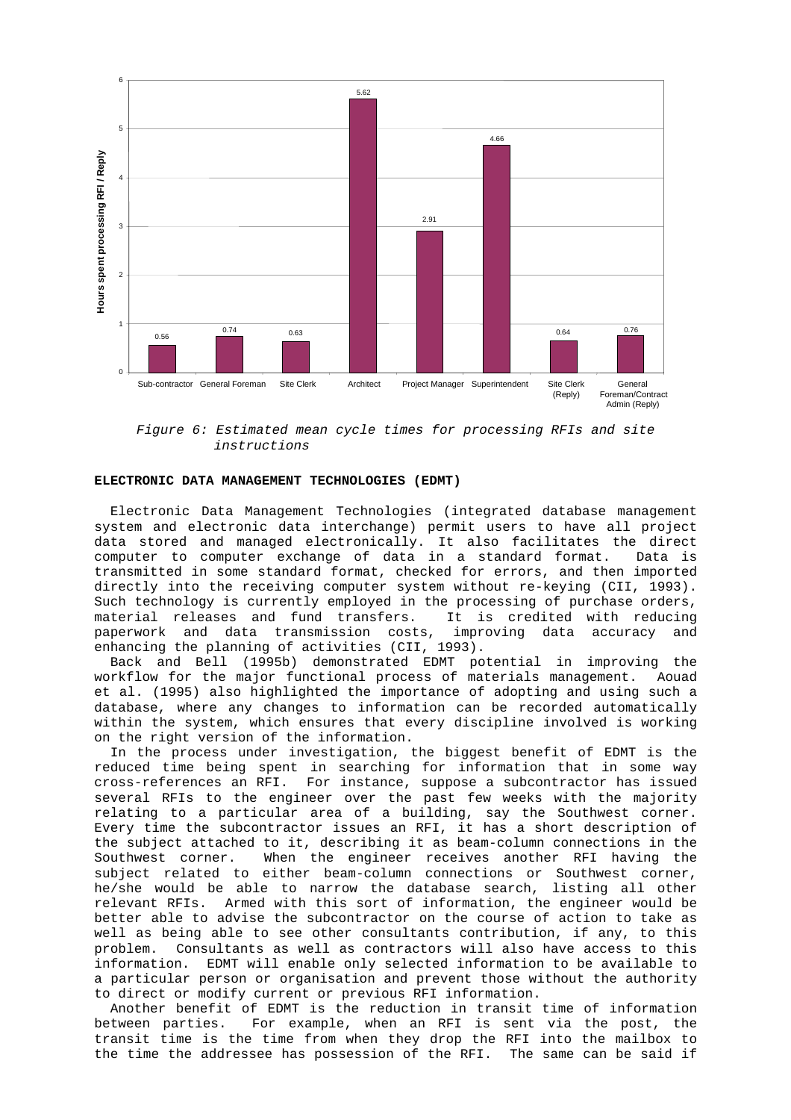

Figure 6: Estimated mean cycle times for processing RFIs and site instructions

### **ELECTRONIC DATA MANAGEMENT TECHNOLOGIES (EDMT)**

Electronic Data Management Technologies (integrated database management system and electronic data interchange) permit users to have all project data stored and managed electronically. It also facilitates the direct computer to computer exchange of data in a standard format. Data is transmitted in some standard format, checked for errors, and then imported directly into the receiving computer system without re-keying (CII, 1993). Such technology is currently employed in the processing of purchase orders, material releases and fund transfers. It is credited with reducing paperwork and data transmission costs, improving data accuracy and enhancing the planning of activities (CII, 1993).

Back and Bell (1995b) demonstrated EDMT potential in improving the workflow for the major functional process of materials management. Aouad et al. (1995) also highlighted the importance of adopting and using such a database, where any changes to information can be recorded automatically within the system, which ensures that every discipline involved is working on the right version of the information.

In the process under investigation, the biggest benefit of EDMT is the reduced time being spent in searching for information that in some way cross-references an RFI. For instance, suppose a subcontractor has issued several RFIs to the engineer over the past few weeks with the majority relating to a particular area of a building, say the Southwest corner. Every time the subcontractor issues an RFI, it has a short description of the subject attached to it, describing it as beam-column connections in the Southwest corner. When the engineer receives another RFI having the subject related to either beam-column connections or Southwest corner, he/she would be able to narrow the database search, listing all other relevant RFIs. Armed with this sort of information, the engineer would be better able to advise the subcontractor on the course of action to take as well as being able to see other consultants contribution, if any, to this problem. Consultants as well as contractors will also have access to this information. EDMT will enable only selected information to be available to a particular person or organisation and prevent those without the authority to direct or modify current or previous RFI information.

Another benefit of EDMT is the reduction in transit time of information between parties. For example, when an RFI is sent via the post, the transit time is the time from when they drop the RFI into the mailbox to the time the addressee has possession of the RFI. The same can be said if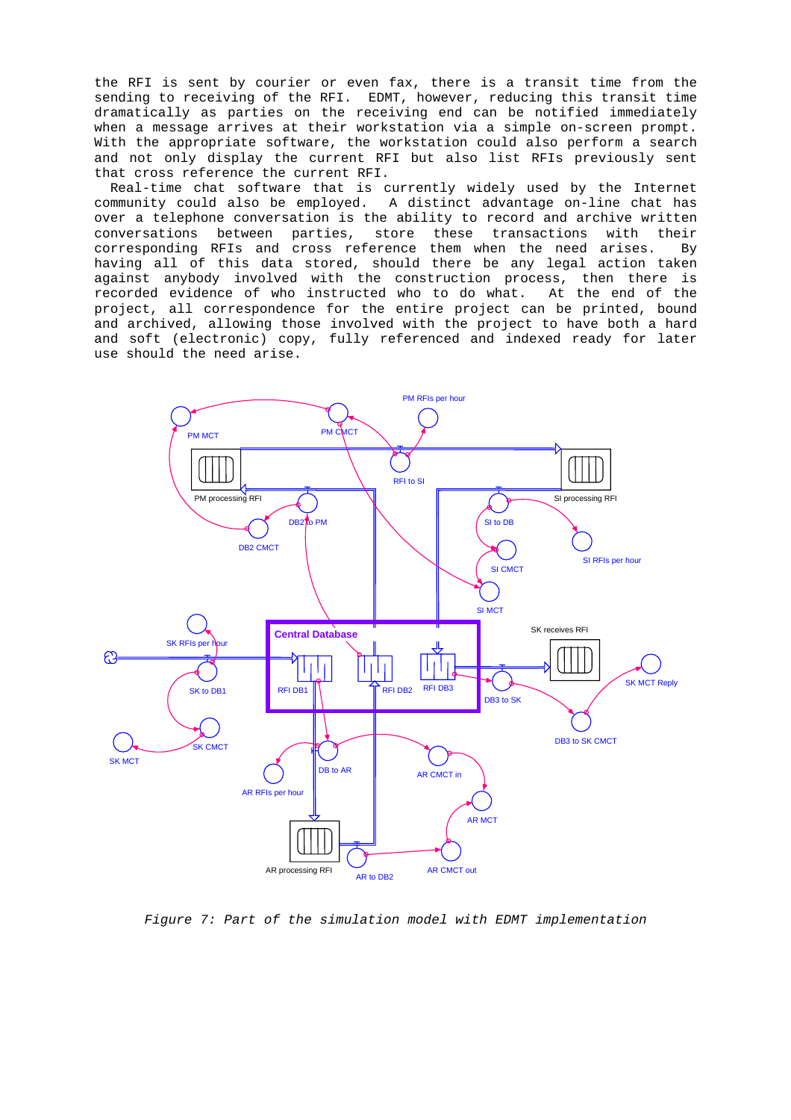the RFI is sent by courier or even fax, there is a transit time from the sending to receiving of the RFI. EDMT, however, reducing this transit time dramatically as parties on the receiving end can be notified immediately when a message arrives at their workstation via a simple on-screen prompt. With the appropriate software, the workstation could also perform a search and not only display the current RFI but also list RFIs previously sent that cross reference the current RFI.

Real-time chat software that is currently widely used by the Internet community could also be employed. A distinct advantage on-line chat has over a telephone conversation is the ability to record and archive written conversations between parties, store these transactions with their corresponding RFIs and cross reference them when the need arises. By having all of this data stored, should there be any legal action taken against anybody involved with the construction process, then there is recorded evidence of who instructed who to do what. At the end of the project, all correspondence for the entire project can be printed, bound and archived, allowing those involved with the project to have both a hard and soft (electronic) copy, fully referenced and indexed ready for later use should the need arise.



Figure 7: Part of the simulation model with EDMT implementation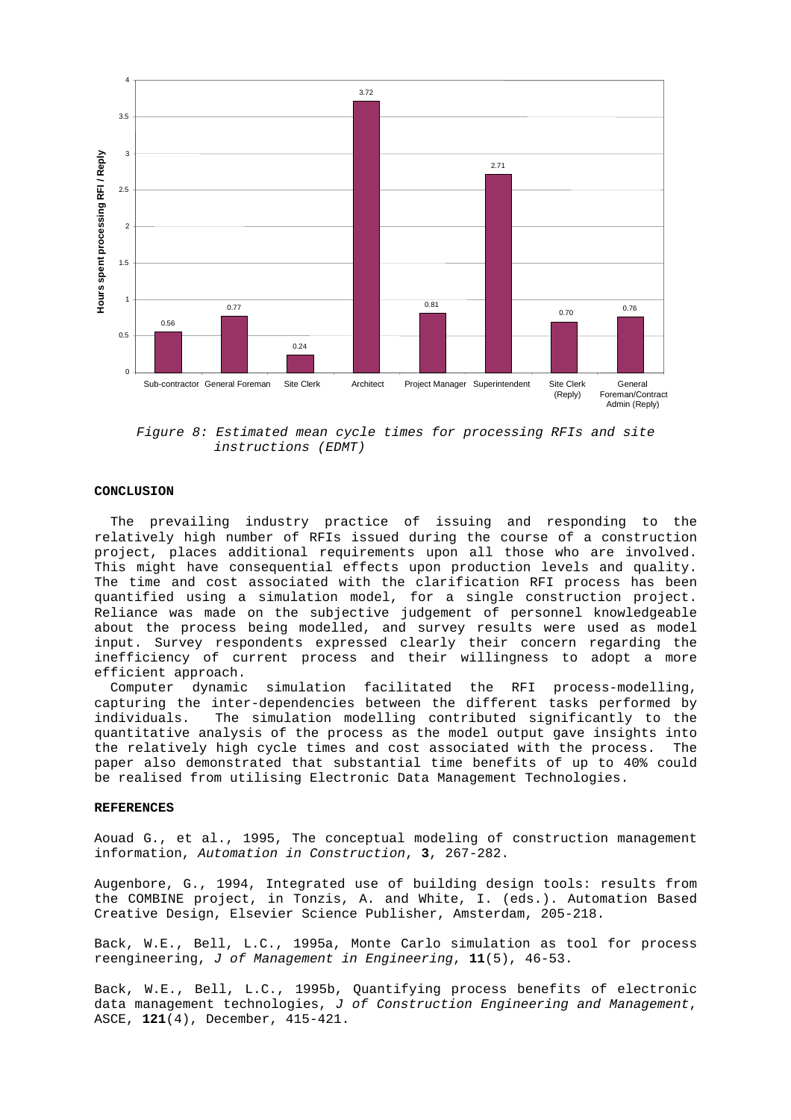

Figure 8: Estimated mean cycle times for processing RFIs and site instructions (EDMT)

#### **CONCLUSION**

The prevailing industry practice of issuing and responding to the relatively high number of RFIs issued during the course of a construction project, places additional requirements upon all those who are involved. This might have consequential effects upon production levels and quality. The time and cost associated with the clarification RFI process has been quantified using a simulation model, for a single construction project. Reliance was made on the subjective judgement of personnel knowledgeable about the process being modelled, and survey results were used as model input. Survey respondents expressed clearly their concern regarding the inefficiency of current process and their willingness to adopt a more efficient approach.

Computer dynamic simulation facilitated the RFI process-modelling, capturing the inter-dependencies between the different tasks performed by individuals. The simulation modelling contributed significantly to the quantitative analysis of the process as the model output gave insights into the relatively high cycle times and cost associated with the process. The paper also demonstrated that substantial time benefits of up to 40% could be realised from utilising Electronic Data Management Technologies.

### **REFERENCES**

Aouad G., et al., 1995, The conceptual modeling of construction management information, Automation in Construction, **3**, 267-282.

Augenbore, G., 1994, Integrated use of building design tools: results from the COMBINE project, in Tonzis, A. and White, I. (eds.). Automation Based Creative Design, Elsevier Science Publisher, Amsterdam, 205-218.

Back, W.E., Bell, L.C., 1995a, Monte Carlo simulation as tool for process reengineering, J of Management in Engineering, **11**(5), 46-53.

Back, W.E., Bell, L.C., 1995b, Quantifying process benefits of electronic data management technologies, J of Construction Engineering and Management, ASCE, **121**(4), December, 415-421.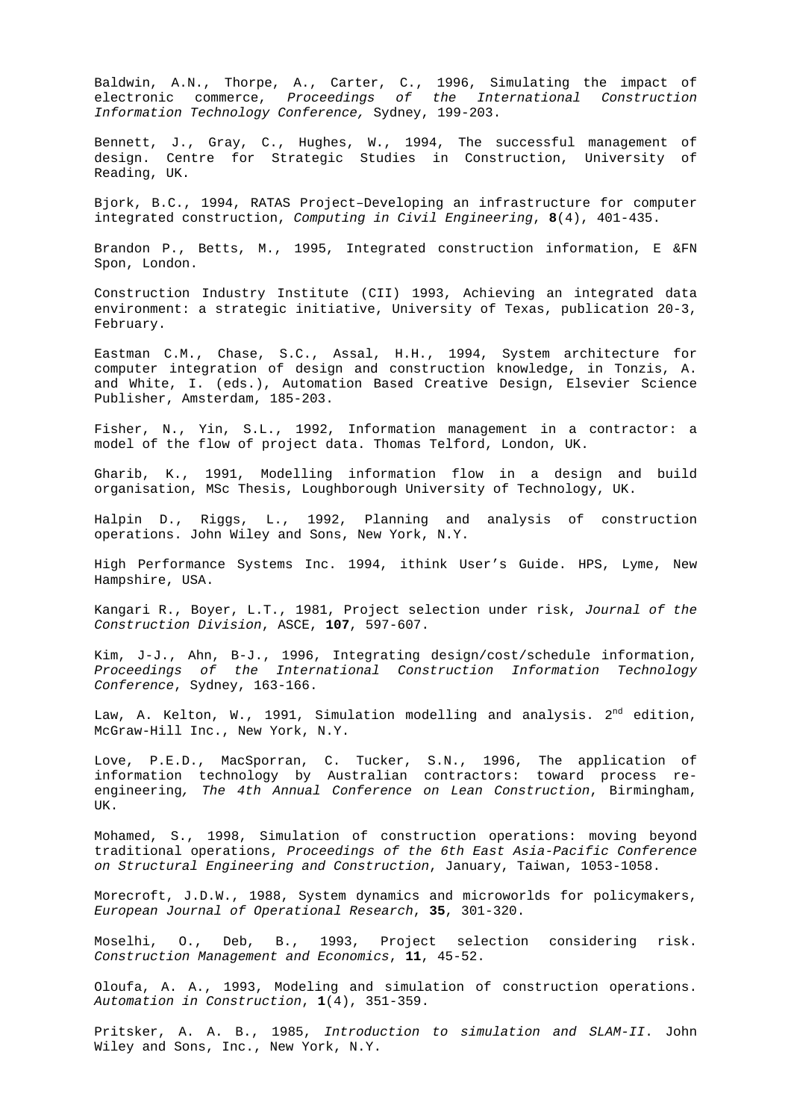Baldwin, A.N., Thorpe, A., Carter, C., 1996, Simulating the impact of electronic commerce, Proceedings of the International Construction Information Technology Conference, Sydney, 199-203.

Bennett, J., Gray, C., Hughes, W., 1994, The successful management of design. Centre for Strategic Studies in Construction, University of Reading, UK.

Bjork, B.C., 1994, RATAS Project–Developing an infrastructure for computer integrated construction, Computing in Civil Engineering, **8**(4), 401-435.

Brandon P., Betts, M., 1995, Integrated construction information, E &FN Spon, London.

Construction Industry Institute (CII) 1993, Achieving an integrated data environment: a strategic initiative, University of Texas, publication 20-3, February.

Eastman C.M., Chase, S.C., Assal, H.H., 1994, System architecture for computer integration of design and construction knowledge, in Tonzis, A. and White, I. (eds.), Automation Based Creative Design, Elsevier Science Publisher, Amsterdam, 185-203.

Fisher, N., Yin, S.L., 1992, Information management in a contractor: a model of the flow of project data. Thomas Telford, London, UK.

Gharib, K., 1991, Modelling information flow in a design and build organisation, MSc Thesis, Loughborough University of Technology, UK.

Halpin D., Riggs, L., 1992, Planning and analysis of construction operations. John Wiley and Sons, New York, N.Y.

High Performance Systems Inc. 1994, ithink User's Guide. HPS, Lyme, New Hampshire, USA.

Kangari R., Boyer, L.T., 1981, Project selection under risk, Journal of the Construction Division, ASCE, **107**, 597-607.

Kim, J-J., Ahn, B-J., 1996, Integrating design/cost/schedule information, Proceedings of the International Construction Information Technology Conference, Sydney, 163-166.

Law, A. Kelton, W., 1991, Simulation modelling and analysis.  $2<sup>nd</sup>$  edition, McGraw-Hill Inc., New York, N.Y.

Love, P.E.D., MacSporran, C. Tucker, S.N., 1996, The application of information technology by Australian contractors: toward process reengineering, The 4th Annual Conference on Lean Construction, Birmingham, UK.

Mohamed, S., 1998, Simulation of construction operations: moving beyond traditional operations, Proceedings of the 6th East Asia-Pacific Conference on Structural Engineering and Construction, January, Taiwan, 1053-1058.

Morecroft, J.D.W., 1988, System dynamics and microworlds for policymakers, European Journal of Operational Research, **35**, 301-320.

Moselhi, O., Deb, B., 1993, Project selection considering risk. Construction Management and Economics, **11**, 45-52.

Oloufa, A. A., 1993, Modeling and simulation of construction operations. Automation in Construction, **1**(4), 351-359.

Pritsker, A. A. B., 1985, Introduction to simulation and SLAM-II. John Wiley and Sons, Inc., New York, N.Y.